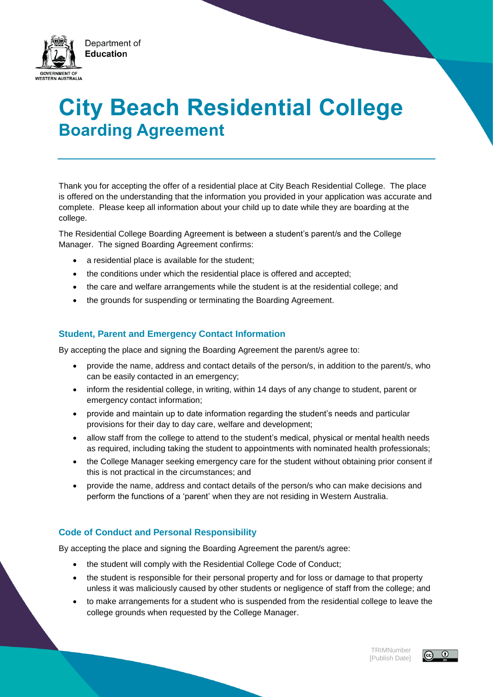

# **City Beach Residential College Boarding Agreement**

Thank you for accepting the offer of a residential place at City Beach Residential College. The place is offered on the understanding that the information you provided in your application was accurate and complete. Please keep all information about your child up to date while they are boarding at the college.

The Residential College Boarding Agreement is between a student's parent/s and the College Manager. The signed Boarding Agreement confirms:

- a residential place is available for the student;
- the conditions under which the residential place is offered and accepted;
- the care and welfare arrangements while the student is at the residential college; and
- the grounds for suspending or terminating the Boarding Agreement.

## **Student, Parent and Emergency Contact Information**

By accepting the place and signing the Boarding Agreement the parent/s agree to:

- provide the name, address and contact details of the person/s, in addition to the parent/s, who can be easily contacted in an emergency;
- inform the residential college, in writing, within 14 days of any change to student, parent or emergency contact information;
- provide and maintain up to date information regarding the student's needs and particular provisions for their day to day care, welfare and development;
- allow staff from the college to attend to the student's medical, physical or mental health needs as required, including taking the student to appointments with nominated health professionals;
- the College Manager seeking emergency care for the student without obtaining prior consent if this is not practical in the circumstances; and
- provide the name, address and contact details of the person/s who can make decisions and perform the functions of a 'parent' when they are not residing in Western Australia.

## **Code of Conduct and Personal Responsibility**

By accepting the place and signing the Boarding Agreement the parent/s agree:

- the student will comply with the Residential College Code of Conduct;
- the student is responsible for their personal property and for loss or damage to that property unless it was maliciously caused by other students or negligence of staff from the college; and
- to make arrangements for a student who is suspended from the residential college to leave the college grounds when requested by the College Manager.

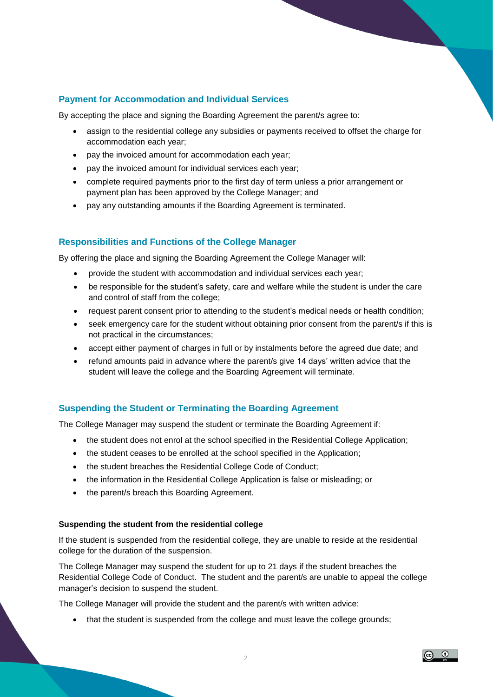# **Payment for Accommodation and Individual Services**

By accepting the place and signing the Boarding Agreement the parent/s agree to:

- assign to the residential college any subsidies or payments received to offset the charge for accommodation each year;
- pay the invoiced amount for accommodation each year;
- pay the invoiced amount for individual services each year;
- complete required payments prior to the first day of term unless a prior arrangement or payment plan has been approved by the College Manager; and
- pay any outstanding amounts if the Boarding Agreement is terminated.

## **Responsibilities and Functions of the College Manager**

By offering the place and signing the Boarding Agreement the College Manager will:

- provide the student with accommodation and individual services each year;
- be responsible for the student's safety, care and welfare while the student is under the care and control of staff from the college;
- request parent consent prior to attending to the student's medical needs or health condition;
- seek emergency care for the student without obtaining prior consent from the parent/s if this is not practical in the circumstances;
- accept either payment of charges in full or by instalments before the agreed due date; and
- refund amounts paid in advance where the parent/s give 14 days' written advice that the student will leave the college and the Boarding Agreement will terminate.

## **Suspending the Student or Terminating the Boarding Agreement**

The College Manager may suspend the student or terminate the Boarding Agreement if:

- the student does not enrol at the school specified in the Residential College Application:
- the student ceases to be enrolled at the school specified in the Application;
- the student breaches the Residential College Code of Conduct;
- the information in the Residential College Application is false or misleading; or
- the parent/s breach this Boarding Agreement.

#### **Suspending the student from the residential college**

If the student is suspended from the residential college, they are unable to reside at the residential college for the duration of the suspension.

The College Manager may suspend the student for up to 21 days if the student breaches the Residential College Code of Conduct. The student and the parent/s are unable to appeal the college manager's decision to suspend the student.

The College Manager will provide the student and the parent/s with written advice:

• that the student is suspended from the college and must leave the college grounds;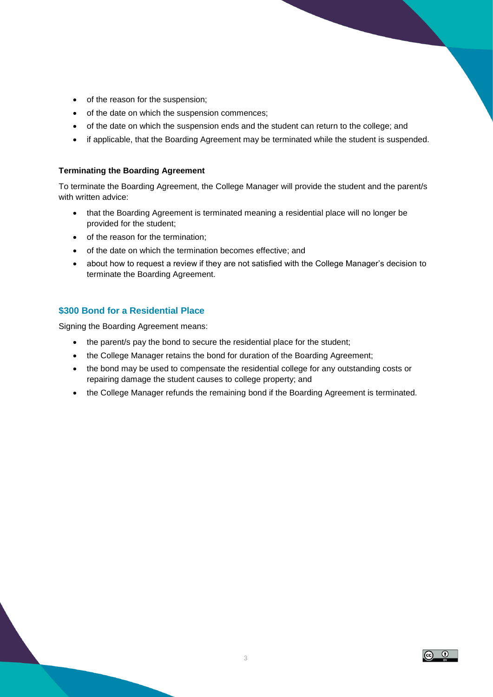- of the reason for the suspension;
- of the date on which the suspension commences;
- of the date on which the suspension ends and the student can return to the college; and
- if applicable, that the Boarding Agreement may be terminated while the student is suspended.

#### **Terminating the Boarding Agreement**

To terminate the Boarding Agreement, the College Manager will provide the student and the parent/s with written advice:

- that the Boarding Agreement is terminated meaning a residential place will no longer be provided for the student;
- of the reason for the termination;
- of the date on which the termination becomes effective; and
- about how to request a review if they are not satisfied with the College Manager's decision to terminate the Boarding Agreement.

## **\$300 Bond for a Residential Place**

Signing the Boarding Agreement means:

- the parent/s pay the bond to secure the residential place for the student;
- the College Manager retains the bond for duration of the Boarding Agreement;
- the bond may be used to compensate the residential college for any outstanding costs or repairing damage the student causes to college property; and
- the College Manager refunds the remaining bond if the Boarding Agreement is terminated.